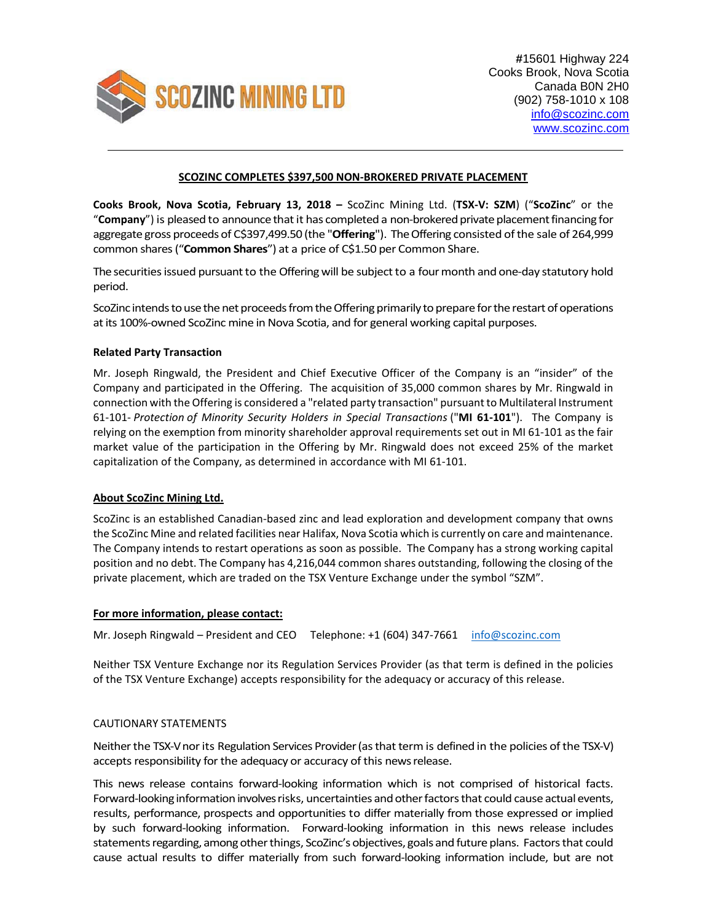

# **SCOZINC COMPLETES \$397,500 NON‐BROKERED PRIVATE PLACEMENT**

**Cooks Brook, Nova Scotia, February 13, 2018 –** ScoZinc Mining Ltd. (**TSX‐V: SZM**) ("**ScoZinc**" or the "**Company**") is pleased to announce that it has completed a non-brokered private placement financing for aggregate gross proceeds of C\$397,499.50 (the "Offering"). The Offering consisted of the sale of 264,999 common shares("**Common Shares**") at a price of C\$1.50 per Common Share.

The securities issued pursuant to the Offering will be subject to a four month and one-day statutory hold period.

ScoZinc intends to use the net proceeds from the Offering primarily to prepare for the restart of operations atits 100%‐owned ScoZinc mine in Nova Scotia, and for general working capital purposes.

## **Related Party Transaction**

Mr. Joseph Ringwald, the President and Chief Executive Officer of the Company is an "insider" of the Company and participated in the Offering. The acquisition of 35,000 common shares by Mr. Ringwald in connection with the Offering is considered a "related party transaction" pursuant to Multilateral Instrument 61‐101‐ *Protection of Minority Security Holders in Special Transactions* ("**MI 61‐101**"). The Company is relying on the exemption from minority shareholder approval requirements set out in MI 61-101 as the fair market value of the participation in the Offering by Mr. Ringwald does not exceed 25% of the market capitalization of the Company, as determined in accordance with MI 61‐101.

## **About ScoZinc Mining Ltd.**

ScoZinc is an established Canadian‐based zinc and lead exploration and development company that owns the ScoZinc Mine and related facilities near Halifax, Nova Scotia which is currently on care and maintenance. The Company intends to restart operations as soon as possible. The Company has a strong working capital position and no debt. The Company has 4,216,044 common shares outstanding, following the closing of the private placement, which are traded on the TSX Venture Exchange under the symbol "SZM".

### **For more information, please contact:**

Mr. Joseph Ringwald – President and CEO Telephone: +1 (604) 347-7661 info@scozinc.com

Neither TSX Venture Exchange nor its Regulation Services Provider (as that term is defined in the policies of the TSX Venture Exchange) accepts responsibility for the adequacy or accuracy of this release.

## CAUTIONARY STATEMENTS

Neither the TSX-V nor its Regulation Services Provider (as that term is defined in the policies of the TSX-V) accepts responsibility for the adequacy or accuracy of this news release.

This news release contains forward‐looking information which is not comprised of historical facts. Forward-looking information involves risks, uncertainties and other factors that could cause actual events, results, performance, prospects and opportunities to differ materially from those expressed or implied by such forward‐looking information. Forward‐looking information in this news release includes statements regarding, among other things, ScoZinc's objectives, goals and future plans. Factors that could cause actual results to differ materially from such forward‐looking information include, but are not